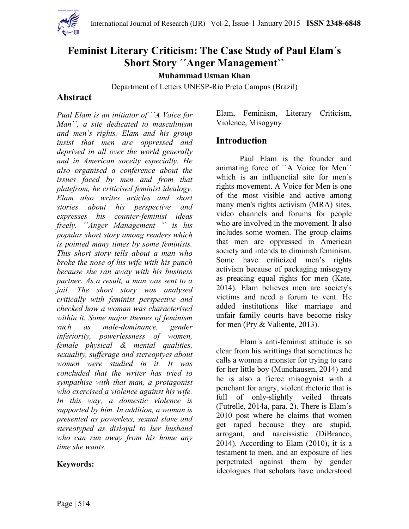

# **Feminist Literary Criticism: The Case Study of Paul Elam´s Short Story ´´Anger Management``**

**Muhammad Usman Khan** 

Department of Letters UNESP-Rio Preto Campus (Brazil)

### **Abstract**

*Pual Elam is an initiator of ´´A Voice for Man``, a site dedicated to masculinism and men´s rights. Elam and his group insist that men are oppressed and deprived in all over the world generally and in American soceity especially. He also organised a conference about the issues faced by men and from that platefrom, he criticised feminist idealogy. Elam also writes articles and short stories about his perspective and expresses his counter-feminist ideas freely. ´´Anger Management `` is his popular short story among readers which is pointed many times by some feminists. This short story tells about a man who broke the nose of his wife with his punch because she ran away with his business partner. As a result, a man was sent to a jail. The short story was analysed critically with feminist perspective and checked how a woman was characterised within it. Some major themes of feminism such as male-dominance, gender inferiority, powerlessness of women, female physical & mental qualities, sexuality, sufferage and stereoptyes about women were studied in it. It was concluded that the writer has tried to sympathise with that man, a protagonist who exercised a violence against his wife. In this way, a domestic violence is supported by him. In addition, a woman is presented as powerless, sexual slave and stereotyped as disloyal to her husband who can run away from his home any time she wants.* 

#### **Keywords:**

Elam, Feminism, Literary Criticism, Violence, Misogyny

#### **Introduction**

Paul Elam is the founder and animating force of ``A Voice for Men`` which is an influenctial site for men´s rights movement. A Voice for Men is one of the most visible and active among many men's rights activism (MRA) sites, vide[o](https://www.youtube.com/channel/UCcmnLu5cGUGeLy744WS-fsg) channels and forums for people who are involved in the movement. It also includes some women. The group claims that men are oppressed in American society and intends to diminish feminism. Some have criticized [m](http://prospect.org/article/look-inside-mens-rights-movement-helped-fuel-california-alleged-killer-elliot-rodger)en's rights activism because of packaging misogyny as preacing equal rights for men (Kate, 2014). Elam believes men are society's victims and need a forum to vent. He added institutions like marriage and unfair family courts have become risky for men (Pry & Valiente, 2013).

Elam´s anti-feminist attitude is so clear from his writtings that sometimes he calls a woman a monster for trying to care for her little boy (Munchausen, 2014) and he is also a fierce misogynist with a penchant for angry, violent rhetoric that is full of only-slightly veiled threats (Futrelle, 2014a, para. 2). There is Elam´s 2010 post where he claims that women get raped because they are stupid, arrogant, and narcissistic (DiBranco, 2014). According to Elam (2010), it is a testament to men, and an exposure of lies perpetrated against them by gender ideologues that scholars have understood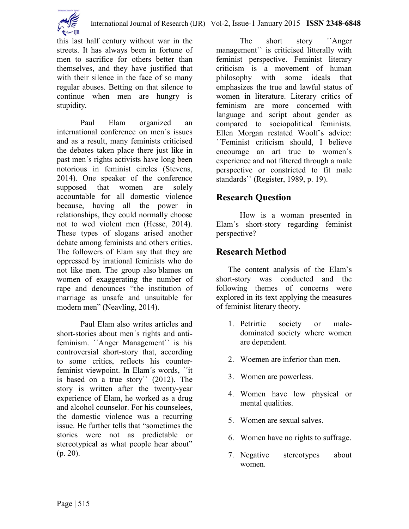

this last half century without war in the streets. It has always been in fortune of men to sacrifice for others better than themselves, and they have justified that with their silence in the face of so many regular abuses. Betting on that silence to continue when men are hungry is stupidity.

Paul Elam organized an international conference on men´s issues and as a result, many feminists criticised the debates taken place there just like in past men´s rights activists have long been notorious in feminist circles (Stevens, 2014). One speaker of the conference supposed that women are solely accountable for all domestic violence because, having all the power in relationships, they could normally choose not to wed violent men (Hesse, 2014). These types of slogans arised another debate among feminists and others critics. The followers of Elam say that they are oppressed by irrational feminists who do not like men. The group also blames on women of exaggerating the number of rape and denounces "the institution of marriage as unsafe and unsuitable for modern men" (Neavling, 2014).

Paul Elam also writes articles and short-stories about men´s rights and antifeminism. *'*Anger Management' is his controversial short-story that, according to some critics, reflects his counterfeminist viewpoint. In Elam´s words, ´´it is based on a true story`` (2012). The story is written after the twenty-year experience of Elam, he worked as a drug and alcohol counselor. For his counselees, the domestic violence was a recurring issue. He further tells that "sometimes the stories were not as predictable or stereotypical as what people hear about" (p. 20).

The short story *T* Anger management`` is criticised litterally with feminist perspective. Feminist literary criticism is a movement of human philosophy with some ideals that emphasizes the true and lawful status of women in literature. Literary critics of feminism are more concerned with language and script about gender as compared to sociopolitical feminists. Ellen Morgan restated Woolf´s advice: ´´Feminist criticism should, I believe encourage an art true to women´s experience and not filtered through a male perspective or constricted to fit male standards`` (Register, 1989, p. 19).

# **Research Question**

How is a woman presented in Elam´s short-story regarding feminist perspective?

## **Research Method**

The content analysis of the Elam`s short-story was conducted and the following themes of concerns were explored in its text applying the measures of feminist literary theory.

- 1. Petrirtic society or maledominated society where women are dependent.
- 2. Woemen are inferior than men.
- 3. Women are powerless.
- 4. Women have low physical or mental qualities.
- 5. Women are sexual salves.
- 6. Women have no rights to suffrage.
- 7. Negative stereotypes about women.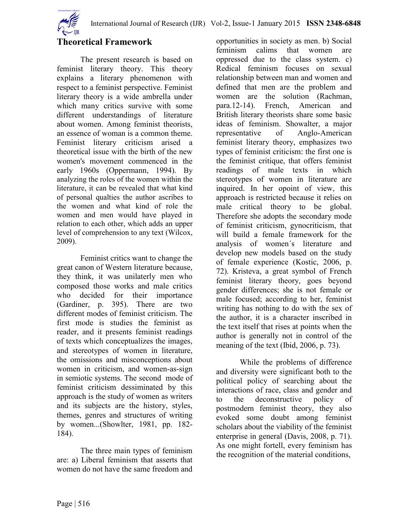

## **Theoretical Framework**

The present research is based on feminist literary theory. This theory explains a literary phenomenon with respect to a feminist perspective. Feminist literary theory is a wide ambrella under which many critics survive with some different understandings of literature about women. Among feminist theorists, an essence of woman is a common theme. Feminist literary criticism arised a theoretical issue with the birth of the new women's movement commenced in the early 1960s (Oppermann, 1994). By analyzing the roles of the women within the literature, it can be revealed that what kind of personal qualties the author ascribes to the women and what kind of role the women and men would have played in relation to each other, which adds an upper level of comprehension to any text (Wilcox, 2009).

Feminist critics want to change the great canon of Western literature because, they think, it was unilaterly men who composed those works and male critics who decided for their importance (Gardiner, p. 395). There are two different modes of feminist criticism. The first mode is studies the feminist as reader, and it presents feminist readings of texts which conceptualizes the images, and stereotypes of women in literature, the omissions and misconceptions about women in criticism, and women-as-sign in semiotic systems. The second mode of feminist criticism dessiminated by this approach is the study of women as writers and its subjects are the history, styles, themes, genres and structures of writing by women...(Showlter, 1981, pp. 182- 184).

The three main types of feminism are: a) Liberal feminism that asserts that women do not have the same freedom and

opportunities in society as men. b) Social feminism calims that women are oppressed due to the class system. c) Redical feminism focuses on sexual relationship between man and women and defined that men are the problem and women are the solution (Rachman, para.12-14). French, American and British literary theorists share some basic ideas of feminism. Showalter, a major representative of Anglo-American feminist literary theory, emphasizes two types of feminist criticism: the first one is the feminist critique, that offers feminist readings of male texts in which stereotypes of women in literature are inquired. In her opoint of view, this approach is restricted because it relies on male critical theory to be global. Therefore she adopts the secondary mode of feminist criticism, gynocriticism, that will build a female framework for the analysis of women´s literature and develop new models based on the study of female experience (Kostic, 2006, p. 72). Kristeva, a great symbol of French feminist literary theory, goes beyond gender differences; she is not female or male focused; according to her, feminist writing has nothing to do with the sex of the author, it is a character inscribed in the text itself that rises at points when the author is generally not in control of the meaning of the text (Ibid, 2006, p. 73).

While the problems of difference and diversity were significant both to the political policy of searching about the interactions of race, class and gender and to the deconstructive policy of postmodern feminist theory, they also evoked some doubt among feminist scholars about the viability of the feminist enterprise in general (Davis, 2008, p. 71). As one might fortell, every feminism has the recognition of the material conditions,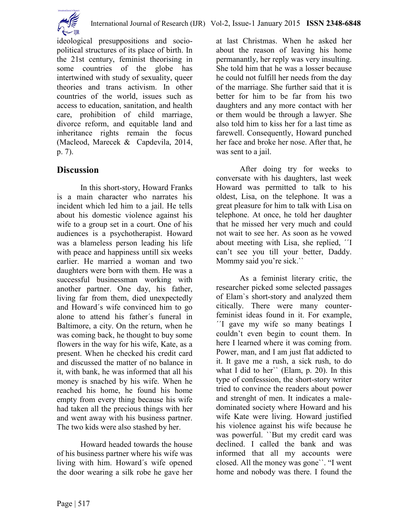

ideological presuppositions and sociopolitical structures of its place of birth. In the 21st century, feminist theorising in some countries of the globe has intertwined with study of sexuality, queer theories and trans activism. In other countries of the world, issues such as access to education, sanitation, and health care, prohibition of child marriage, divorce reform, and equitable land and inheritance rights remain the focus (Macleod, Marecek & Capdevila, 2014, p. 7).

## **Discussion**

In this short-story, Howard Franks is a main character who narrates his incident which led him to a jail. He tells about his domestic violence against his wife to a group set in a court. One of his audiences is a psychotherapist. Howard was a blameless person leading his life with peace and happiness untill six weeks earlier. He married a woman and two daughters were born with them. He was a successful businessman working with another partner. One day, his father, living far from them, died unexpectedly and Howard´s wife convinced him to go alone to attend his father´s funeral in Baltimore, a city. On the return, when he was coming back, he thought to buy some flowers in the way for his wife, Kate, as a present. When he checked his credit card and discussed the matter of no balance in it, with bank, he was informed that all his money is snached by his wife. When he reached his home, he found his home empty from every thing because his wife had taken all the precious things with her and went away with his business partner. The two kids were also stashed by her.

Howard headed towards the house of his business partner where his wife was living with him. Howard´s wife opened the door wearing a silk robe he gave her

at last Christmas. When he asked her about the reason of leaving his home permanantly, her reply was very insulting. She told him that he was a losser because he could not fulfill her needs from the day of the marriage. She further said that it is better for him to be far from his two daughters and any more contact with her or them would be through a lawyer. She also told him to kiss her for a last time as farewell. Consequently, Howard punched her face and broke her nose. After that, he was sent to a jail.

After doing try for weeks to conversate with his daughters, last week Howard was permitted to talk to his oldest, Lisa, on the telephone. It was a great pleasure for him to talk with Lisa on telephone. At once, he told her daughter that he missed her very much and could not wait to see her. As soon as he vowed about meeting with Lisa, she replied, ´´I can't see you till your better, Daddy. Mommy said you're sick.``

As a feminist literary critic, the researcher picked some selected passages of Elam`s short-story and analyzed them citically. There were many counterfeminist ideas found in it. For example, ´´I gave my wife so many beatings I couldn't even begin to count them. In here I learned where it was coming from. Power, man, and I am just flat addicted to it. It gave me a rush, a sick rush, to do what I did to her`` (Elam, p. 20). In this type of confesssion, the short-story writer tried to convince the readers about power and strenght of men. It indicates a maledominated society where Howard and his wife Kate were living. Howard justified his violence against his wife because he was powerful. ``But my credit card was declined. I called the bank and was informed that all my accounts were closed. All the money was gone``. "I went home and nobody was there. I found the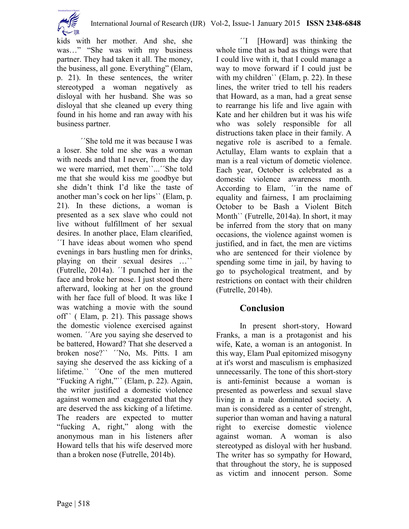International Journal of Research (IJR) Vol-2, Issue-1 January 2015 **ISSN 2348-6848**



kids with her mother. And she, she was..." "She was with my business partner. They had taken it all. The money, the business, all gone. Everything" (Elam, p. 21). In these sentences, the writer stereotyped a woman negatively as disloyal with her husband. She was so disloyal that she cleaned up every thing found in his home and ran away with his business partner.

´´She told me it was because I was a loser. She told me she was a woman with needs and that I never, from the day we were married, met them``...´´She told me that she would kiss me goodbye but she didn't think I'd like the taste of another man's cock on her lips`` (Elam, p. 21). In these dictions, a woman is presented as a sex slave who could not live without fulfillment of her sexual desires. In another place, Elam clearified, ´´I have ideas about women who spend evenings in bars hustling men for drinks, playing on their sexual desires …`` (Futrelle, 2014a). ´´I punched her in the face and broke her nose. I just stood there afterward, looking at her on the ground with her face full of blood. It was like I was watching a movie with the sound off`` ( Elam, p. 21). This passage shows the domestic violence exercised against women. ´´Are you saying she deserved to be battered, Howard? That she deserved a broken nose?`` ´´No, Ms. Pitts. I am saying she deserved the ass kicking of a lifetime.`` ''One of the men muttered "Fucking A right,"`` (Elam, p. 22). Again, the writer justified a domestic violence against women and exaggerated that they are deserved the ass kicking of a lifetime. The readers are expected to mutter "fucking A, right," along with the anonymous man in his listeners after Howard tells that his wife deserved more than a broken nose (Futrelle, 2014b).

´´I [Howard] was thinking the whole time that as bad as things were that I could live with it, that I could manage a way to move forward if I could just be with my children'' (Elam, p. 22). In these lines, the writer tried to tell his readers that Howard, as a man, had a great sense to rearrange his life and live again with Kate and her children but it was his wife who was solely responsible for all distructions taken place in their family. A negative role is ascribed to a female. Actullay, Elam wants to explain that a man is a real victum of dometic violence. Each year, October is celebrated as a domestic violence awareness month. According to Elam, ´´in the name of equality and fairness, I am proclaiming October to be Bash a Violent Bitch Month`` (Futrelle, 2014a). In short, it may be inferred from the story that on many occasions, the violence against women is justified, and in fact, the men are victims who are sentenced for their violence by spending some time in jail, by having to go to psychological treatment, and by restrictions on contact with their children (Futrelle, 2014b).

## **Conclusion**

In present short-story, Howard Franks, a man is a protagonist and his wife, Kate, a woman is an antogonist. In this way, Elam Pual epitomized misogyny at it's worst and masculism is emphasized unnecessarily. The tone of this short-story is anti-feminist because a woman is presented as powerless and sexual slave living in a male dominated society. A man is considered as a center of strenght, superior than woman and having a natural right to exercise domestic violence against woman. A woman is also stereotyped as disloyal with her husband. The writer has so sympathy for Howard, that throughout the story, he is supposed as victim and innocent person. Some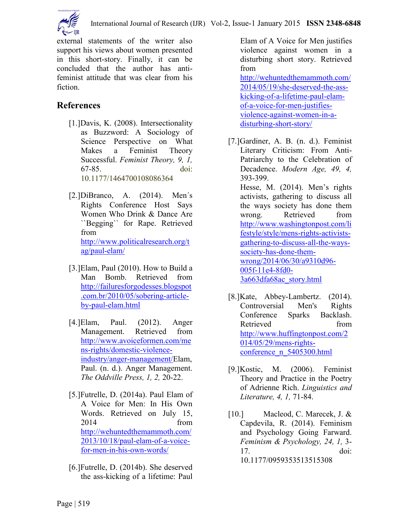

external statements of the writer also support his views about women presented in this short-story. Finally, it can be concluded that the author has antifeminist attitude that was clear from his fiction.

# **References**

- [1.]Davis, K. (2008). Intersectionality as Buzzword: A Sociology of Science Perspective on What Makes a Feminist Theory Successful. *Feminist Theory, 9, 1,*  67-85. doi: 10.1177/1464700108086364
- [2.]DiBranco, A. (2014). Men´s Rights Conference Host Says Women Who Drink & Dance Are ``Begging`` for Rape. Retrieved from [http://www.politicalresearch.org/t](http://www.politicalresearch.org/tag/paul-elam/) [ag/paul-elam/](http://www.politicalresearch.org/tag/paul-elam/)
- [3.]Elam, Paul (2010). How to Build a Man Bomb. Retrieved from [http://failuresforgodesses.blogspot](http://failuresforgodesses.blogspot.com.br/2010/05/sobering-article-by-paul-elam.html) [.com.br/2010/05/sobering-article](http://failuresforgodesses.blogspot.com.br/2010/05/sobering-article-by-paul-elam.html)[by-paul-elam.html](http://failuresforgodesses.blogspot.com.br/2010/05/sobering-article-by-paul-elam.html)
- [4.]Elam, Paul. (2012). Anger Management. Retrieved from [http://www.avoiceformen.com/me](http://www.avoiceformen.com/mens-rights/domestic-violence-industry/anger-management/) [ns-rights/domestic-violence](http://www.avoiceformen.com/mens-rights/domestic-violence-industry/anger-management/)[industry/anger-management/E](http://www.avoiceformen.com/mens-rights/domestic-violence-industry/anger-management/)lam, Paul. (n. d.). Anger Management. *The Oddville Press, 1, 2,* 20-22.
- [5.]Futrelle, D. (2014a). Paul Elam of A Voice for Men: In His Own Words. Retrieved on July 15, 2014 from [http://wehuntedthemammoth.com/](http://wehuntedthemammoth.com/2013/10/18/paul-elam-of-a-voice-for-men-in-his-own-words/) [2013/10/18/paul-elam-of-a-voice](http://wehuntedthemammoth.com/2013/10/18/paul-elam-of-a-voice-for-men-in-his-own-words/)[for-men-in-his-own-words/](http://wehuntedthemammoth.com/2013/10/18/paul-elam-of-a-voice-for-men-in-his-own-words/)
- [6.]Futrelle, D. (2014b). She deserved the ass-kicking of a lifetime: Paul

Elam of A Voice for Men justifies violence against women in a disturbing short story. Retrieved from

[http://wehuntedthemammoth.com/](http://wehuntedthemammoth.com/2014/05/19/she-deserved-the-ass-kicking-of-a-lifetime-paul-elam-of-a-voice-for-men-justifies-violence-against-women-in-a-disturbing-short-story/) [2014/05/19/she-deserved-the-ass](http://wehuntedthemammoth.com/2014/05/19/she-deserved-the-ass-kicking-of-a-lifetime-paul-elam-of-a-voice-for-men-justifies-violence-against-women-in-a-disturbing-short-story/)[kicking-of-a-lifetime-paul-elam](http://wehuntedthemammoth.com/2014/05/19/she-deserved-the-ass-kicking-of-a-lifetime-paul-elam-of-a-voice-for-men-justifies-violence-against-women-in-a-disturbing-short-story/)[of-a-voice-for-men-justifies](http://wehuntedthemammoth.com/2014/05/19/she-deserved-the-ass-kicking-of-a-lifetime-paul-elam-of-a-voice-for-men-justifies-violence-against-women-in-a-disturbing-short-story/)[violence-against-women-in-a](http://wehuntedthemammoth.com/2014/05/19/she-deserved-the-ass-kicking-of-a-lifetime-paul-elam-of-a-voice-for-men-justifies-violence-against-women-in-a-disturbing-short-story/)[disturbing-short-story/](http://wehuntedthemammoth.com/2014/05/19/she-deserved-the-ass-kicking-of-a-lifetime-paul-elam-of-a-voice-for-men-justifies-violence-against-women-in-a-disturbing-short-story/)

- [7.]Gardiner, A. B. (n. d.). Feminist Literary Criticism: From Anti-Patriarchy to the Celebration of Decadence. *Modern Age, 49, 4,*  393-399. Hesse, M. (2014). Men's rights activists, gathering to discuss all the ways society has done them wrong. Retrieved from [http://www.washingtonpost.com/li](http://www.washingtonpost.com/lifestyle/style/mens-rights-activists-gathering-to-discuss-all-the-ways-society-has-done-them-wrong/2014/06/30/a9310d96-005f-11e4-8fd0-3a663dfa68ac_story.html) [festyle/style/mens-rights-activists](http://www.washingtonpost.com/lifestyle/style/mens-rights-activists-gathering-to-discuss-all-the-ways-society-has-done-them-wrong/2014/06/30/a9310d96-005f-11e4-8fd0-3a663dfa68ac_story.html)[gathering-to-discuss-all-the-ways](http://www.washingtonpost.com/lifestyle/style/mens-rights-activists-gathering-to-discuss-all-the-ways-society-has-done-them-wrong/2014/06/30/a9310d96-005f-11e4-8fd0-3a663dfa68ac_story.html)[society-has-done-them](http://www.washingtonpost.com/lifestyle/style/mens-rights-activists-gathering-to-discuss-all-the-ways-society-has-done-them-wrong/2014/06/30/a9310d96-005f-11e4-8fd0-3a663dfa68ac_story.html)[wrong/2014/06/30/a9310d96-](http://www.washingtonpost.com/lifestyle/style/mens-rights-activists-gathering-to-discuss-all-the-ways-society-has-done-them-wrong/2014/06/30/a9310d96-005f-11e4-8fd0-3a663dfa68ac_story.html) [005f-11e4-8fd0-](http://www.washingtonpost.com/lifestyle/style/mens-rights-activists-gathering-to-discuss-all-the-ways-society-has-done-them-wrong/2014/06/30/a9310d96-005f-11e4-8fd0-3a663dfa68ac_story.html) [3a663dfa68ac\\_story.html](http://www.washingtonpost.com/lifestyle/style/mens-rights-activists-gathering-to-discuss-all-the-ways-society-has-done-them-wrong/2014/06/30/a9310d96-005f-11e4-8fd0-3a663dfa68ac_story.html)
- [8.]Kate, Abbey-Lambertz. (2014). Controversial Men's Rights Conference Sparks Backlash. Retrieved from [http://www.huffingtonpost.com/2](http://www.huffingtonpost.com/2014/05/29/mens-rights-conference_n_5405300.html) [014/05/29/mens-rights](http://www.huffingtonpost.com/2014/05/29/mens-rights-conference_n_5405300.html)[conference\\_n\\_5405300.html](http://www.huffingtonpost.com/2014/05/29/mens-rights-conference_n_5405300.html)
- [9.]Kostic, M. (2006). Feminist Theory and Practice in the Poetry of Adrienne Rich. *Linguistics and Literature, 4, 1,* 71-84.
- [10.] Macleod, C. Marecek, J. & Capdevila, R. (2014). Feminism and Psychology Going Farward. *Feminism & Psychology, 24, 1,* 3- 17. doi: 10.1177/0959353513515308